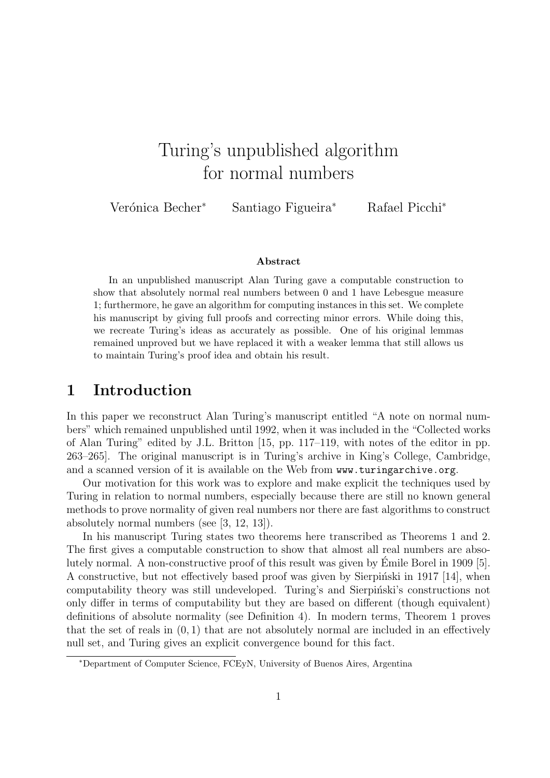# Turing's unpublished algorithm for normal numbers

Verónica Becher<sup>∗</sup> Santiago Figueira<sup>∗</sup> Rafael Picchi<sup>∗</sup>

#### Abstract

In an unpublished manuscript Alan Turing gave a computable construction to show that absolutely normal real numbers between 0 and 1 have Lebesgue measure 1; furthermore, he gave an algorithm for computing instances in this set. We complete his manuscript by giving full proofs and correcting minor errors. While doing this, we recreate Turing's ideas as accurately as possible. One of his original lemmas remained unproved but we have replaced it with a weaker lemma that still allows us to maintain Turing's proof idea and obtain his result.

## 1 Introduction

In this paper we reconstruct Alan Turing's manuscript entitled "A note on normal numbers" which remained unpublished until 1992, when it was included in the "Collected works of Alan Turing" edited by J.L. Britton [15, pp. 117–119, with notes of the editor in pp. 263–265]. The original manuscript is in Turing's archive in King's College, Cambridge, and a scanned version of it is available on the Web from www.turingarchive.org.

Our motivation for this work was to explore and make explicit the techniques used by Turing in relation to normal numbers, especially because there are still no known general methods to prove normality of given real numbers nor there are fast algorithms to construct absolutely normal numbers (see [3, 12, 13]).

In his manuscript Turing states two theorems here transcribed as Theorems 1 and 2. The first gives a computable construction to show that almost all real numbers are absolutely normal. A non-constructive proof of this result was given by Emile Borel in 1909 [5]. ´ A constructive, but not effectively based proof was given by Sierpinski in 1917 [14], when computability theory was still undeveloped. Turing's and Sierpinski's constructions not only differ in terms of computability but they are based on different (though equivalent) definitions of absolute normality (see Definition 4). In modern terms, Theorem 1 proves that the set of reals in  $(0, 1)$  that are not absolutely normal are included in an effectively null set, and Turing gives an explicit convergence bound for this fact.

<sup>∗</sup>Department of Computer Science, FCEyN, University of Buenos Aires, Argentina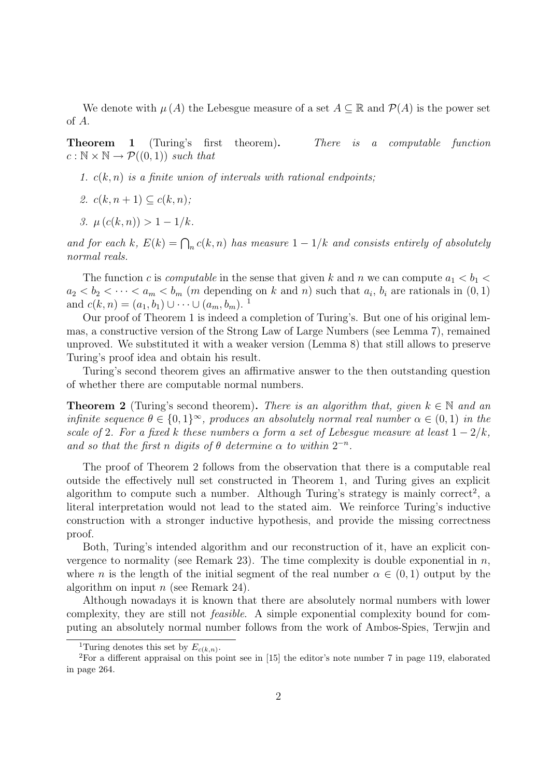We denote with  $\mu(A)$  the Lebesgue measure of a set  $A \subseteq \mathbb{R}$  and  $\mathcal{P}(A)$  is the power set of A.

Theorem 1 (Turing's first theorem). There is a computable function  $c : \mathbb{N} \times \mathbb{N} \rightarrow \mathcal{P}((0,1))$  such that

- 1.  $c(k, n)$  is a finite union of intervals with rational endpoints;
- 2.  $c(k, n+1) \subseteq c(k, n)$ ;
- 3.  $\mu(c(k, n)) > 1 1/k$ .

and for each k,  $E(k) = \bigcap_n c(k,n)$  has measure  $1-1/k$  and consists entirely of absolutely normal reals.

The function c is computable in the sense that given k and n we can compute  $a_1 < b_1 <$  $a_2 < b_2 < \cdots < a_m < b_m$  (m depending on k and n) such that  $a_i, b_i$  are rationals in  $(0, 1)$ and  $c(k, n) = (a_1, b_1) \cup \cdots \cup (a_m, b_m)$ .<sup>1</sup>

Our proof of Theorem 1 is indeed a completion of Turing's. But one of his original lemmas, a constructive version of the Strong Law of Large Numbers (see Lemma 7), remained unproved. We substituted it with a weaker version (Lemma 8) that still allows to preserve Turing's proof idea and obtain his result.

Turing's second theorem gives an affirmative answer to the then outstanding question of whether there are computable normal numbers.

**Theorem 2** (Turing's second theorem). There is an algorithm that, given  $k \in \mathbb{N}$  and an infinite sequence  $\theta \in \{0,1\}^{\infty}$ , produces an absolutely normal real number  $\alpha \in (0,1)$  in the scale of 2. For a fixed k these numbers  $\alpha$  form a set of Lebesgue measure at least  $1 - 2/k$ , and so that the first n digits of  $\theta$  determine  $\alpha$  to within  $2^{-n}$ .

The proof of Theorem 2 follows from the observation that there is a computable real outside the effectively null set constructed in Theorem 1, and Turing gives an explicit algorithm to compute such a number. Although Turing's strategy is mainly correct<sup>2</sup>, a literal interpretation would not lead to the stated aim. We reinforce Turing's inductive construction with a stronger inductive hypothesis, and provide the missing correctness proof.

Both, Turing's intended algorithm and our reconstruction of it, have an explicit convergence to normality (see Remark 23). The time complexity is double exponential in  $n$ , where n is the length of the initial segment of the real number  $\alpha \in (0,1)$  output by the algorithm on input  $n$  (see Remark 24).

Although nowadays it is known that there are absolutely normal numbers with lower complexity, they are still not feasible. A simple exponential complexity bound for computing an absolutely normal number follows from the work of Ambos-Spies, Terwjin and

<sup>&</sup>lt;sup>1</sup>Turing denotes this set by  $E_{c(k,n)}$ .

<sup>&</sup>lt;sup>2</sup>For a different appraisal on this point see in  $[15]$  the editor's note number 7 in page 119, elaborated in page 264.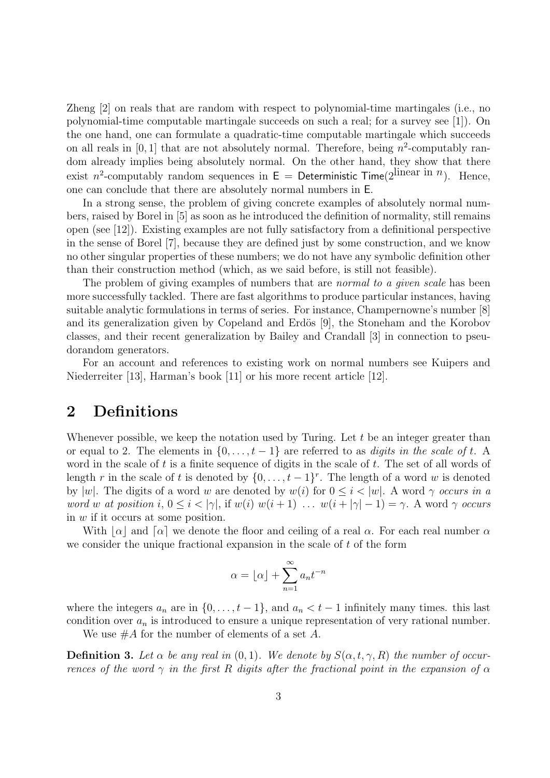Zheng [2] on reals that are random with respect to polynomial-time martingales (i.e., no polynomial-time computable martingale succeeds on such a real; for a survey see [1]). On the one hand, one can formulate a quadratic-time computable martingale which succeeds on all reals in  $[0, 1]$  that are not absolutely normal. Therefore, being  $n^2$ -computably random already implies being absolutely normal. On the other hand, they show that there exist *n*<sup>2</sup>-computably random sequences in  $E =$  Deterministic Time(2<sup>linear in *n*). Hence,</sup> one can conclude that there are absolutely normal numbers in E.

In a strong sense, the problem of giving concrete examples of absolutely normal numbers, raised by Borel in [5] as soon as he introduced the definition of normality, still remains open (see [12]). Existing examples are not fully satisfactory from a definitional perspective in the sense of Borel [7], because they are defined just by some construction, and we know no other singular properties of these numbers; we do not have any symbolic definition other than their construction method (which, as we said before, is still not feasible).

The problem of giving examples of numbers that are *normal to a given scale* has been more successfully tackled. There are fast algorithms to produce particular instances, having suitable analytic formulations in terms of series. For instance, Champernowne's number [8] and its generalization given by Copeland and Erdös [9], the Stoneham and the Korobov classes, and their recent generalization by Bailey and Crandall [3] in connection to pseudorandom generators.

For an account and references to existing work on normal numbers see Kuipers and Niederreiter [13], Harman's book [11] or his more recent article [12].

### 2 Definitions

Whenever possible, we keep the notation used by Turing. Let  $t$  be an integer greater than or equal to 2. The elements in  $\{0, \ldots, t-1\}$  are referred to as *digits in the scale of t.* A word in the scale of  $t$  is a finite sequence of digits in the scale of  $t$ . The set of all words of length r in the scale of t is denoted by  $\{0, \ldots, t-1\}^r$ . The length of a word w is denoted by |w|. The digits of a word w are denoted by  $w(i)$  for  $0 \leq i \leq |w|$ . A word  $\gamma$  occurs in a word w at position i,  $0 \leq i < |\gamma|$ , if  $w(i)$   $w(i+1)$  ...  $w(i+|\gamma|-1) = \gamma$ . A word  $\gamma$  occurs in w if it occurs at some position.

With  $\alpha$  and  $\alpha$  we denote the floor and ceiling of a real  $\alpha$ . For each real number  $\alpha$ we consider the unique fractional expansion in the scale of  $t$  of the form

$$
\alpha = \lfloor \alpha \rfloor + \sum_{n=1}^{\infty} a_n t^{-n}
$$

where the integers  $a_n$  are in  $\{0, \ldots, t-1\}$ , and  $a_n < t-1$  infinitely many times. this last condition over  $a_n$  is introduced to ensure a unique representation of very rational number.

We use  $#A$  for the number of elements of a set A.

**Definition 3.** Let  $\alpha$  be any real in  $(0, 1)$ . We denote by  $S(\alpha, t, \gamma, R)$  the number of occurrences of the word  $\gamma$  in the first R digits after the fractional point in the expansion of  $\alpha$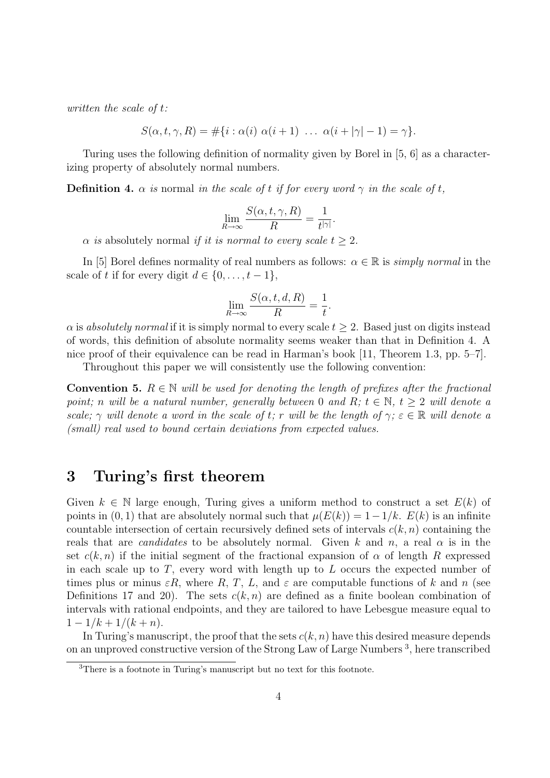written the scale of t:

$$
S(\alpha, t, \gamma, R) = \#\{i : \alpha(i) \alpha(i+1) \ldots \alpha(i+|\gamma|-1) = \gamma\}.
$$

Turing uses the following definition of normality given by Borel in [5, 6] as a characterizing property of absolutely normal numbers.

**Definition 4.**  $\alpha$  is normal in the scale of t if for every word  $\gamma$  in the scale of t,

$$
\lim_{R \to \infty} \frac{S(\alpha, t, \gamma, R)}{R} = \frac{1}{t^{|\gamma|}}.
$$

 $\alpha$  is absolutely normal if it is normal to every scale  $t > 2$ .

In [5] Borel defines normality of real numbers as follows:  $\alpha \in \mathbb{R}$  is *simply normal* in the scale of t if for every digit  $d \in \{0, \ldots, t-1\},\$ 

$$
\lim_{R \to \infty} \frac{S(\alpha, t, d, R)}{R} = \frac{1}{t}.
$$

 $\alpha$  is absolutely normal if it is simply normal to every scale  $t \geq 2$ . Based just on digits instead of words, this definition of absolute normality seems weaker than that in Definition 4. A nice proof of their equivalence can be read in Harman's book [11, Theorem 1.3, pp. 5–7].

Throughout this paper we will consistently use the following convention:

**Convention 5.**  $R \in \mathbb{N}$  will be used for denoting the length of prefixes after the fractional point; n will be a natural number, generally between 0 and R;  $t \in \mathbb{N}$ ,  $t > 2$  will denote a scale;  $\gamma$  will denote a word in the scale of t; r will be the length of  $\gamma$ ;  $\varepsilon \in \mathbb{R}$  will denote a (small) real used to bound certain deviations from expected values.

### 3 Turing's first theorem

Given  $k \in \mathbb{N}$  large enough, Turing gives a uniform method to construct a set  $E(k)$  of points in  $(0, 1)$  that are absolutely normal such that  $\mu(E(k)) = 1-1/k$ .  $E(k)$  is an infinite countable intersection of certain recursively defined sets of intervals  $c(k, n)$  containing the reals that are *candidates* to be absolutely normal. Given k and n, a real  $\alpha$  is in the set  $c(k, n)$  if the initial segment of the fractional expansion of  $\alpha$  of length R expressed in each scale up to  $T$ , every word with length up to  $L$  occurs the expected number of times plus or minus  $\epsilon R$ , where R, T, L, and  $\epsilon$  are computable functions of k and n (see Definitions 17 and 20). The sets  $c(k, n)$  are defined as a finite boolean combination of intervals with rational endpoints, and they are tailored to have Lebesgue measure equal to  $1 - 1/k + 1/(k+n)$ .

In Turing's manuscript, the proof that the sets  $c(k, n)$  have this desired measure depends on an unproved constructive version of the Strong Law of Large Numbers<sup>3</sup>, here transcribed

<sup>3</sup>There is a footnote in Turing's manuscript but no text for this footnote.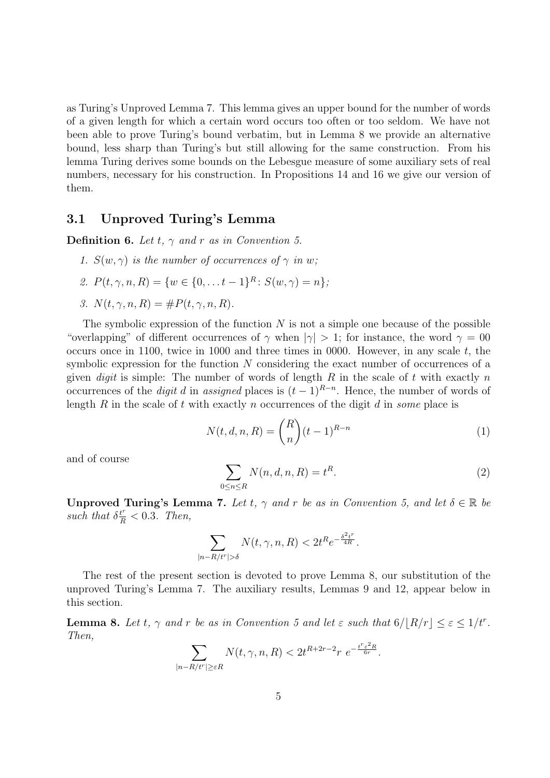as Turing's Unproved Lemma 7. This lemma gives an upper bound for the number of words of a given length for which a certain word occurs too often or too seldom. We have not been able to prove Turing's bound verbatim, but in Lemma 8 we provide an alternative bound, less sharp than Turing's but still allowing for the same construction. From his lemma Turing derives some bounds on the Lebesgue measure of some auxiliary sets of real numbers, necessary for his construction. In Propositions 14 and 16 we give our version of them.

#### 3.1 Unproved Turing's Lemma

**Definition 6.** Let  $t$ ,  $\gamma$  and  $r$  as in Convention 5.

- 1.  $S(w, \gamma)$  is the number of occurrences of  $\gamma$  in w;
- 2.  $P(t, \gamma, n, R) = \{w \in \{0, \ldots t-1\}^R : S(w, \gamma) = n\},\$

3. 
$$
N(t, \gamma, n, R) = \#P(t, \gamma, n, R).
$$

The symbolic expression of the function  $N$  is not a simple one because of the possible "overlapping" of different occurrences of  $\gamma$  when  $|\gamma| > 1$ ; for instance, the word  $\gamma = 00$ occurs once in 1100, twice in 1000 and three times in 0000. However, in any scale  $t$ , the symbolic expression for the function  $N$  considering the exact number of occurrences of a given *digit* is simple: The number of words of length R in the scale of t with exactly n occurrences of the *digit d* in assigned places is  $(t-1)^{R-n}$ . Hence, the number of words of length R in the scale of t with exactly n occurrences of the digit d in some place is

$$
N(t, d, n, R) = \binom{R}{n} (t-1)^{R-n} \tag{1}
$$

and of course

$$
\sum_{0 \le n \le R} N(n, d, n, R) = t^R. \tag{2}
$$

**Unproved Turing's Lemma 7.** Let t,  $\gamma$  and r be as in Convention 5, and let  $\delta \in \mathbb{R}$  be such that  $\delta^{\frac{t^r}{R}} < 0.3$ . Then,

$$
\sum_{|n-R/t^{r}|>\delta} N(t,\gamma,n,R) < 2t^{R}e^{-\frac{\delta^2t^{r}}{4R}}.
$$

The rest of the present section is devoted to prove Lemma 8, our substitution of the unproved Turing's Lemma 7. The auxiliary results, Lemmas 9 and 12, appear below in this section.

**Lemma 8.** Let t,  $\gamma$  and r be as in Convention 5 and let  $\varepsilon$  such that  $6/|R/r| \leq \varepsilon \leq 1/t^r$ . Then,

$$
\sum_{|n-R/t^r| \ge \varepsilon R} N(t,\gamma,n,R) < 2t^{R+2r-2}r \ e^{-\frac{t^r \varepsilon^2 R}{6r}}.
$$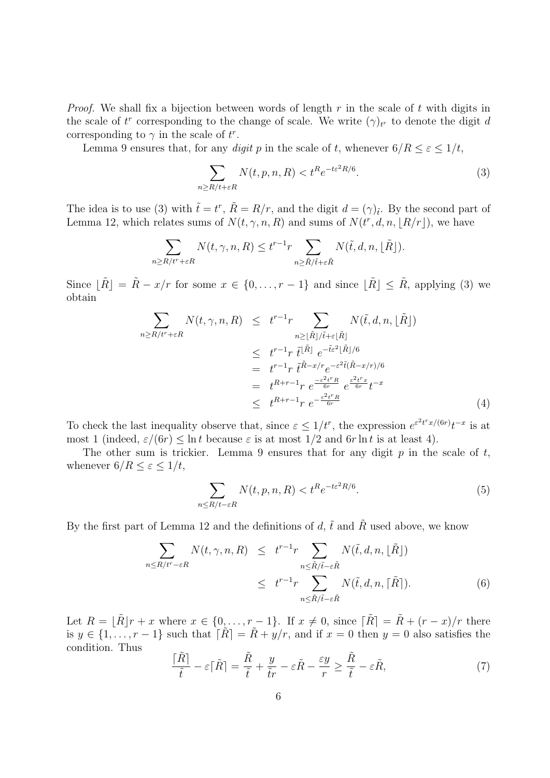*Proof.* We shall fix a bijection between words of length r in the scale of t with digits in the scale of  $t^r$  corresponding to the change of scale. We write  $(\gamma)_{t^r}$  to denote the digit d corresponding to  $\gamma$  in the scale of  $t^r$ .

Lemma 9 ensures that, for any digit p in the scale of t, whenever  $6/R \leq \varepsilon \leq 1/t$ ,

$$
\sum_{n\ge R/t+\varepsilon R} N(t, p, n, R) < t^R e^{-t\varepsilon^2 R/6}.\tag{3}
$$

The idea is to use (3) with  $\tilde{t} = t^r$ ,  $\tilde{R} = R/r$ , and the digit  $d = (\gamma)_{\tilde{t}}$ . By the second part of Lemma 12, which relates sums of  $N(t, \gamma, n, R)$  and sums of  $N(t^r, d, n, \lfloor R/r \rfloor)$ , we have

$$
\sum_{n\geq R/t^r+\varepsilon R} N(t,\gamma,n,R) \leq t^{r-1} r \sum_{n\geq \tilde{R}/\tilde{t}+\varepsilon \tilde{R}} N(\tilde{t},d,n,\lfloor \tilde{R}\rfloor).
$$

Since  $\lfloor \tilde{R} \rfloor = \tilde{R} - x/r$  for some  $x \in \{0, ..., r - 1\}$  and since  $\lfloor \tilde{R} \rfloor \leq \tilde{R}$ , applying (3) we obtain

$$
\sum_{n\geq R/t^r+\varepsilon R} N(t,\gamma,n,R) \leq t^{r-1} r \sum_{n\geq \lfloor \tilde{R} \rfloor/\tilde{t}+\varepsilon \lfloor \tilde{R} \rfloor} N(\tilde{t},d,n,\lfloor \tilde{R} \rfloor)
$$
\n
$$
\leq t^{r-1} r \tilde{t}^{|\tilde{R}|} e^{-\tilde{t}\varepsilon^2 |\tilde{R}|/6}
$$
\n
$$
= t^{r-1} r \tilde{t}^{\tilde{R}-x/r} e^{-\varepsilon^2 \tilde{t}(\tilde{R}-x/r)/6}
$$
\n
$$
= t^{R+r-1} r e^{-\frac{\varepsilon^2 t^r R}{6r}} e^{\frac{\varepsilon^2 t^r x}{6r}} t^{-x}
$$
\n
$$
\leq t^{R+r-1} r e^{-\frac{\varepsilon^2 t^r R}{6r}} \tag{4}
$$

To check the last inequality observe that, since  $\varepsilon \leq 1/t^r$ , the expression  $e^{\varepsilon^2 t^r x/(6r)} t^{-x}$  is at most 1 (indeed,  $\varepsilon/(6r) \leq \ln t$  because  $\varepsilon$  is at most  $1/2$  and  $6r \ln t$  is at least 4).

The other sum is trickier. Lemma 9 ensures that for any digit  $p$  in the scale of  $t$ , whenever  $6/R \leq \varepsilon \leq 1/t$ ,

$$
\sum_{n \le R/t - \varepsilon R} N(t, p, n, R) < t^R e^{-t \varepsilon^2 R/6}.\tag{5}
$$

By the first part of Lemma 12 and the definitions of d,  $\tilde{t}$  and  $\tilde{R}$  used above, we know

$$
\sum_{n \le R/t^r - \varepsilon R} N(t, \gamma, n, R) \le t^{r-1} r \sum_{n \le \tilde{R}/\tilde{t} - \varepsilon \tilde{R}} N(\tilde{t}, d, n, \lfloor \tilde{R} \rfloor)
$$
\n
$$
\le t^{r-1} r \sum_{n \le \tilde{R}/\tilde{t} - \varepsilon \tilde{R}} N(\tilde{t}, d, n, \lceil \tilde{R} \rceil). \tag{6}
$$

Let  $R = \lfloor \tilde{R} \rfloor r + x$  where  $x \in \{0, \ldots, r-1\}$ . If  $x \neq 0$ , since  $\lfloor \tilde{R} \rfloor = \tilde{R} + (r - x)/r$  there is  $y \in \{1, \ldots, r-1\}$  such that  $\lfloor \tilde{R} \rfloor = \tilde{R} + y/r$ , and if  $x = 0$  then  $y = 0$  also satisfies the condition. Thus

$$
\frac{\lceil \tilde{R} \rceil}{\tilde{t}} - \varepsilon \lceil \tilde{R} \rceil = \frac{\tilde{R}}{\tilde{t}} + \frac{y}{\tilde{t}r} - \varepsilon \tilde{R} - \frac{\varepsilon y}{r} \ge \frac{\tilde{R}}{\tilde{t}} - \varepsilon \tilde{R},\tag{7}
$$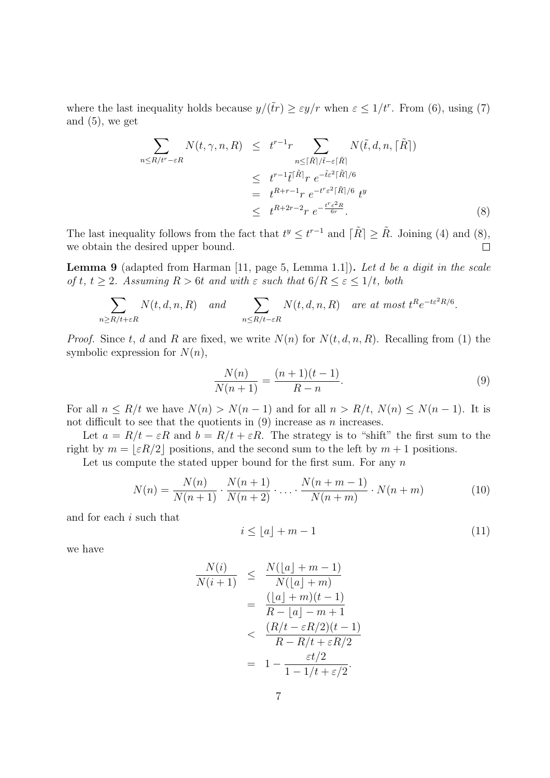where the last inequality holds because  $y/(\tilde{t}r) \geq \varepsilon y/r$  when  $\varepsilon \leq 1/t^r$ . From (6), using (7) and  $(5)$ , we get

$$
\sum_{n \le R/t^r - \varepsilon R} N(t, \gamma, n, R) \le t^{r-1} r \sum_{n \le \lceil \tilde{R} \rceil / \tilde{t} - \varepsilon \lceil \tilde{R} \rceil} N(\tilde{t}, d, n, \lceil \tilde{R} \rceil)
$$
\n
$$
\le t^{r-1} \tilde{t}^{\lceil \tilde{R} \rceil} r e^{-\tilde{t} \varepsilon^2 \lceil \tilde{R} \rceil / 6}
$$
\n
$$
= t^{R+r-1} r e^{-t^r \varepsilon^2 \lceil \tilde{R} \rceil / 6} t^y
$$
\n
$$
\le t^{R+2r-2} r e^{-\frac{t^r \varepsilon^2 R}{6r}}.
$$
\n(8)

The last inequality follows from the fact that  $t^y \leq t^{r-1}$  and  $|\tilde{R}| \geq \tilde{R}$ . Joining (4) and (8), we obtain the desired upper bound.  $\Box$ 

Lemma 9 (adapted from Harman [11, page 5, Lemma 1.1]). Let d be a digit in the scale of t,  $t \geq 2$ . Assuming  $R > 6t$  and with  $\varepsilon$  such that  $6/R \leq \varepsilon \leq 1/t$ , both

$$
\sum_{n\geq R/t+\varepsilon R} N(t,d,n,R) \quad and \quad \sum_{n\leq R/t-\varepsilon R} N(t,d,n,R) \quad are \ at \ most \ t^R e^{-t\varepsilon^2 R/6}.
$$

*Proof.* Since t, d and R are fixed, we write  $N(n)$  for  $N(t, d, n, R)$ . Recalling from (1) the symbolic expression for  $N(n)$ ,

$$
\frac{N(n)}{N(n+1)} = \frac{(n+1)(t-1)}{R-n}.\tag{9}
$$

For all  $n \leq R/t$  we have  $N(n) > N(n-1)$  and for all  $n > R/t$ ,  $N(n) \leq N(n-1)$ . It is not difficult to see that the quotients in  $(9)$  increase as n increases.

Let  $a = R/t - \varepsilon R$  and  $b = R/t + \varepsilon R$ . The strategy is to "shift" the first sum to the right by  $m = \lfloor \varepsilon R/2 \rfloor$  positions, and the second sum to the left by  $m + 1$  positions.

Let us compute the stated upper bound for the first sum. For any  $n$ 

$$
N(n) = \frac{N(n)}{N(n+1)} \cdot \frac{N(n+1)}{N(n+2)} \cdot \ldots \cdot \frac{N(n+m-1)}{N(n+m)} \cdot N(n+m)
$$
(10)

and for each i such that

$$
i \le \lfloor a \rfloor + m - 1 \tag{11}
$$

we have

$$
\frac{N(i)}{N(i+1)} \leq \frac{N(\lfloor a \rfloor + m - 1)}{N(\lfloor a \rfloor + m)}
$$

$$
= \frac{(\lfloor a \rfloor + m)(t - 1)}{R - \lfloor a \rfloor - m + 1}
$$

$$
< \frac{(R/t - \varepsilon R/2)(t - 1)}{R - R/t + \varepsilon R/2}
$$

$$
= 1 - \frac{\varepsilon t/2}{1 - 1/t + \varepsilon/2}.
$$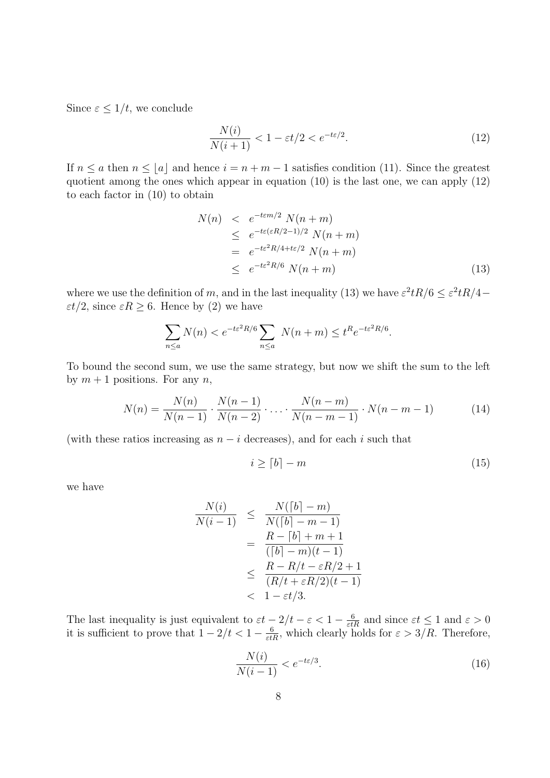Since  $\varepsilon \leq 1/t$ , we conclude

$$
\frac{N(i)}{N(i+1)} < 1 - \varepsilon t/2 < e^{-t\varepsilon/2}.\tag{12}
$$

If  $n \le a$  then  $n \le |a|$  and hence  $i = n + m - 1$  satisfies condition (11). Since the greatest quotient among the ones which appear in equation (10) is the last one, we can apply (12) to each factor in (10) to obtain

$$
N(n) < e^{-t\epsilon m/2} N(n+m)
$$
  
\n
$$
\leq e^{-t\epsilon(\epsilon R/2-1)/2} N(n+m)
$$
  
\n
$$
= e^{-t\epsilon^2 R/4 + t\epsilon/2} N(n+m)
$$
  
\n
$$
\leq e^{-t\epsilon^2 R/6} N(n+m)
$$
\n(13)

where we use the definition of m, and in the last inequality (13) we have  $\varepsilon^2 tR/6 \leq \varepsilon^2 tR/4$  $\epsilon t/2$ , since  $\epsilon R \geq 6$ . Hence by (2) we have

$$
\sum_{n \le a} N(n) < e^{-t \varepsilon^2 R/6} \sum_{n \le a} N(n+m) \le t^R e^{-t \varepsilon^2 R/6}.
$$

To bound the second sum, we use the same strategy, but now we shift the sum to the left by  $m + 1$  positions. For any n,

$$
N(n) = \frac{N(n)}{N(n-1)} \cdot \frac{N(n-1)}{N(n-2)} \cdot \ldots \cdot \frac{N(n-m)}{N(n-m-1)} \cdot N(n-m-1)
$$
 (14)

(with these ratios increasing as  $n - i$  decreases), and for each i such that

$$
i \ge [b] - m \tag{15}
$$

we have

$$
\frac{N(i)}{N(i-1)} \leq \frac{N([b]-m)}{N([b]-m-1)}
$$

$$
= \frac{R-[b]+m+1}{([b]-m)(t-1)}
$$

$$
\leq \frac{R-R/t-\varepsilon R/2+1}{(R/t+\varepsilon R/2)(t-1)}
$$

$$
< 1-\varepsilon t/3.
$$

The last inequality is just equivalent to  $\varepsilon t - 2/t - \varepsilon < 1 - \frac{6}{\varepsilon tR}$  and since  $\varepsilon t \le 1$  and  $\varepsilon > 0$ it is sufficient to prove that  $1 - 2/t < 1 - \frac{6}{\varepsilon tR}$ , which clearly holds for  $\varepsilon > 3/R$ . Therefore,

$$
\frac{N(i)}{N(i-1)} < e^{-t\varepsilon/3}.\tag{16}
$$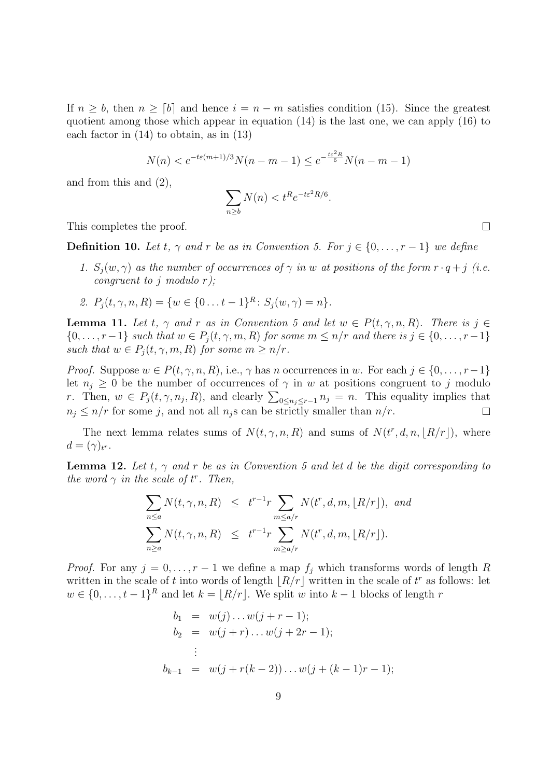If  $n \geq b$ , then  $n \geq [b]$  and hence  $i = n - m$  satisfies condition (15). Since the greatest quotient among those which appear in equation  $(14)$  is the last one, we can apply  $(16)$  to each factor in (14) to obtain, as in (13)

$$
N(n) < e^{-t\varepsilon(m+1)/3} N(n-m-1) \leq e^{-\frac{t\varepsilon^2 R}{6}} N(n-m-1)
$$

and from this and (2),

$$
\sum_{n\geq b} N(n) < t^R e^{-t\varepsilon^2 R/6}.
$$

This completes the proof.

**Definition 10.** Let t,  $\gamma$  and r be as in Convention 5. For  $j \in \{0, \ldots, r-1\}$  we define

- 1.  $S_i(w, \gamma)$  as the number of occurrences of  $\gamma$  in w at positions of the form  $r \cdot q + j$  (i.e. congruent to j modulo  $r$ );
- 2.  $P_j(t, \gamma, n, R) = \{w \in \{0 \dots t-1\}^R : S_j(w, \gamma) = n\}.$

**Lemma 11.** Let t,  $\gamma$  and r as in Convention 5 and let  $w \in P(t, \gamma, n, R)$ . There is  $j \in$  ${0, \ldots, r-1}$  such that  $w \in P_j(t, \gamma, m, R)$  for some  $m \leq n/r$  and there is  $j \in \{0, \ldots, r-1\}$ such that  $w \in P_i(t, \gamma, m, R)$  for some  $m \geq n/r$ .

*Proof.* Suppose  $w \in P(t, \gamma, n, R)$ , i.e.,  $\gamma$  has n occurrences in w. For each  $j \in \{0, ..., r-1\}$ let  $n_j \geq 0$  be the number of occurrences of  $\gamma$  in w at positions congruent to j modulo r. Then,  $w \in P_j(t, \gamma, n_j, R)$ , and clearly  $\sum_{0 \leq n_j \leq r-1} n_j = n$ . This equality implies that  $n_j \leq n/r$  for some j, and not all  $n_j$ s can be strictly smaller than  $n/r$ .  $\Box$ 

The next lemma relates sums of  $N(t, \gamma, n, R)$  and sums of  $N(t^r, d, n, |R/r|)$ , where  $d=(\gamma)_{t^r}.$ 

**Lemma 12.** Let t,  $\gamma$  and r be as in Convention 5 and let d be the digit corresponding to the word  $\gamma$  in the scale of  $t^r$ . Then,

$$
\sum_{n\leq a} N(t,\gamma,n,R) \leq t^{r-1} r \sum_{m\leq a/r} N(t^r,d,m,\lfloor R/r \rfloor), \text{ and}
$$
  

$$
\sum_{n\geq a} N(t,\gamma,n,R) \leq t^{r-1} r \sum_{m\geq a/r} N(t^r,d,m,\lfloor R/r \rfloor).
$$

*Proof.* For any  $j = 0, \ldots, r - 1$  we define a map  $f_j$  which transforms words of length R written in the scale of t into words of length  $\lfloor R/r \rfloor$  written in the scale of t<sup>r</sup> as follows: let  $w \in \{0, \ldots, t-1\}^R$  and let  $k = |R/r|$ . We split w into  $k-1$  blocks of length r

$$
b_1 = w(j) \dots w(j + r - 1);
$$
  
\n
$$
b_2 = w(j + r) \dots w(j + 2r - 1);
$$
  
\n
$$
\vdots
$$
  
\n
$$
b_{k-1} = w(j + r(k-2)) \dots w(j + (k-1)r - 1);
$$

 $\Box$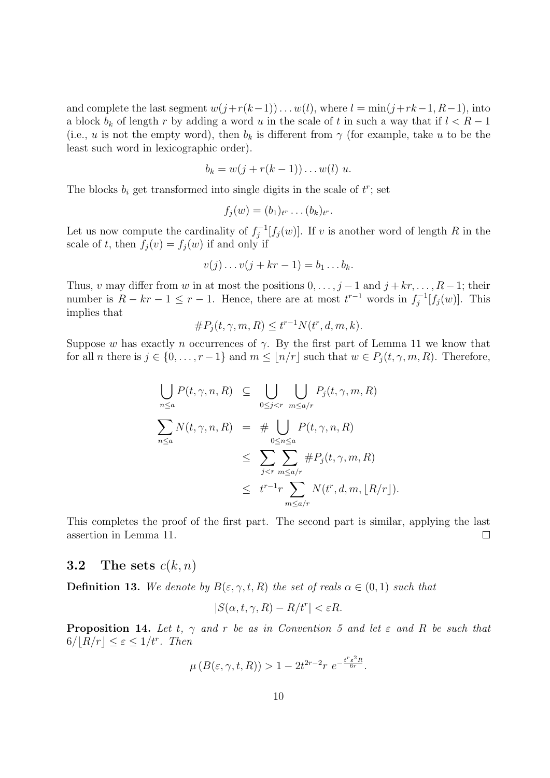and complete the last segment  $w(j+r(k-1))\dots w(l)$ , where  $l = \min(j+rk-1, R-1)$ , into a block  $b_k$  of length r by adding a word u in the scale of t in such a way that if  $l < R-1$ (i.e., u is not the empty word), then  $b_k$  is different from  $\gamma$  (for example, take u to be the least such word in lexicographic order).

$$
b_k = w(j + r(k-1)) \dots w(l) u.
$$

The blocks  $b_i$  get transformed into single digits in the scale of  $t^r$ ; set

$$
f_j(w)=(b_1)_{t^r}\ldots (b_k)_{t^r}.
$$

Let us now compute the cardinality of  $f_i^{-1}$  $j^{-1}[f_j(w)]$ . If v is another word of length R in the scale of t, then  $f_j(v) = f_j(w)$  if and only if

$$
v(j)\dots v(j+kr-1)=b_1\dots b_k.
$$

Thus, v may differ from w in at most the positions  $0, \ldots, j-1$  and  $j + kr, \ldots, R-1$ ; their number is  $R - kr - 1 \leq r - 1$ . Hence, there are at most  $t^{r-1}$  words in  $f_i^{-1}$  $j^{-1}[f_j(w)]$ . This implies that

$$
\#P_j(t,\gamma,m,R) \le t^{r-1} N(t^r,d,m,k).
$$

Suppose w has exactly n occurrences of  $\gamma$ . By the first part of Lemma 11 we know that for all *n* there is  $j \in \{0, ..., r-1\}$  and  $m \leq \lfloor n/r \rfloor$  such that  $w \in P_i(t, \gamma, m, R)$ . Therefore,

$$
\bigcup_{n\leq a} P(t,\gamma,n,R) \subseteq \bigcup_{0\leq j  

$$
\sum_{n\leq a} N(t,\gamma,n,R) = \# \bigcup_{0\leq n\leq a} P(t,\gamma,n,R)
$$
  

$$
\leq \sum_{j  

$$
\leq t^{r-1} \sum_{m\leq a/r} N(t^r,d,m, [R/r]).
$$
$$
$$

This completes the proof of the first part. The second part is similar, applying the last assertion in Lemma 11.  $\Box$ 

### 3.2 The sets  $c(k, n)$

**Definition 13.** We denote by  $B(\varepsilon, \gamma, t, R)$  the set of reals  $\alpha \in (0, 1)$  such that

$$
|S(\alpha, t, \gamma, R) - R/t^r| < \varepsilon R.
$$

**Proposition 14.** Let t,  $\gamma$  and r be as in Convention 5 and let  $\varepsilon$  and R be such that  $6/[R/r] \leq \varepsilon \leq 1/t^r$ . Then

$$
\mu\left(B(\varepsilon,\gamma,t,R)\right) > 1 - 2t^{2r-2}r \ e^{-\frac{t^r \varepsilon^2 R}{6r}}.
$$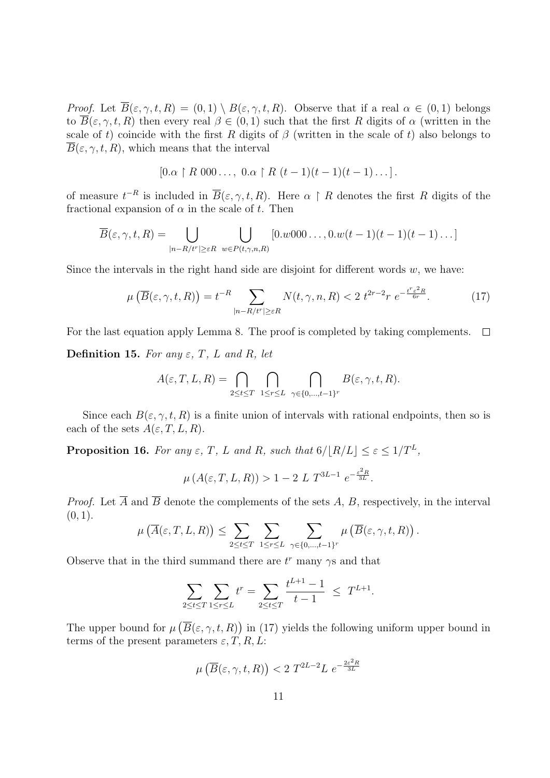*Proof.* Let  $\overline{B}(\varepsilon, \gamma, t, R) = (0, 1) \setminus B(\varepsilon, \gamma, t, R)$ . Observe that if a real  $\alpha \in (0, 1)$  belongs to  $\overline{B}(\varepsilon, \gamma, t, R)$  then every real  $\beta \in (0, 1)$  such that the first R digits of  $\alpha$  (written in the scale of t) coincide with the first R digits of  $\beta$  (written in the scale of t) also belongs to  $\overline{B}(\varepsilon, \gamma, t, R)$ , which means that the interval

$$
[0.\alpha \restriction R 000\ldots, 0.\alpha \restriction R (t-1)(t-1)(t-1)\ldots].
$$

of measure  $t^{-R}$  is included in  $\overline{B}(\varepsilon,\gamma,t,R)$ . Here  $\alpha \restriction R$  denotes the first R digits of the fractional expansion of  $\alpha$  in the scale of t. Then

$$
\overline{B}(\varepsilon,\gamma,t,R)=\bigcup_{|n-R/t^{r}|\geq \varepsilon R}\bigcup_{w\in P(t,\gamma,n,R)}[0.w000\dots,0.w(t-1)(t-1)(t-1)\dots]
$$

Since the intervals in the right hand side are disjoint for different words  $w$ , we have:

$$
\mu\left(\overline{B}(\varepsilon,\gamma,t,R)\right) = t^{-R} \sum_{|n-R/t^r| \ge \varepsilon R} N(t,\gamma,n,R) < 2 \ t^{2r-2} r \ e^{-\frac{t^r \varepsilon^2 R}{6r}}. \tag{17}
$$

For the last equation apply Lemma 8. The proof is completed by taking complements.  $\Box$ 

Definition 15. For any  $\varepsilon$ , T, L and R, let

$$
A(\varepsilon, T, L, R) = \bigcap_{2 \le t \le T} \bigcap_{1 \le r \le L} \bigcap_{\gamma \in \{0, \dots, t-1\}^r} B(\varepsilon, \gamma, t, R).
$$

Since each  $B(\varepsilon, \gamma, t, R)$  is a finite union of intervals with rational endpoints, then so is each of the sets  $A(\varepsilon, T, L, R)$ .

**Proposition 16.** For any  $\varepsilon$ , T, L and R, such that  $6/[R/L] \leq \varepsilon \leq 1/T^L$ ,

$$
\mu(A(\varepsilon, T, L, R)) > 1 - 2 L T^{3L-1} e^{-\frac{\varepsilon^2 R}{3L}}.
$$

*Proof.* Let  $\overline{A}$  and  $\overline{B}$  denote the complements of the sets A, B, respectively, in the interval  $(0, 1)$ .

$$
\mu\left(\overline{A}(\varepsilon,T,L,R)\right) \leq \sum_{2\leq t\leq T}\sum_{1\leq r\leq L}\sum_{\gamma\in\{0,\ldots,t-1\}^r}\mu\left(\overline{B}(\varepsilon,\gamma,t,R)\right).
$$

Observe that in the third summand there are  $t^r$  many  $\gamma s$  and that

$$
\sum_{2 \le t \le T} \sum_{1 \le r \le L} t^r = \sum_{2 \le t \le T} \frac{t^{L+1} - 1}{t - 1} \le T^{L+1}.
$$

The upper bound for  $\mu(\overline{B}(\varepsilon,\gamma,t,R))$  in (17) yields the following uniform upper bound in terms of the present parameters  $\varepsilon, T, R, L$ :

$$
\mu\left(\overline{B}(\varepsilon,\gamma,t,R)\right) < 2 \ T^{2L-2}L \ e^{-\frac{2\varepsilon^2 R}{3L}}
$$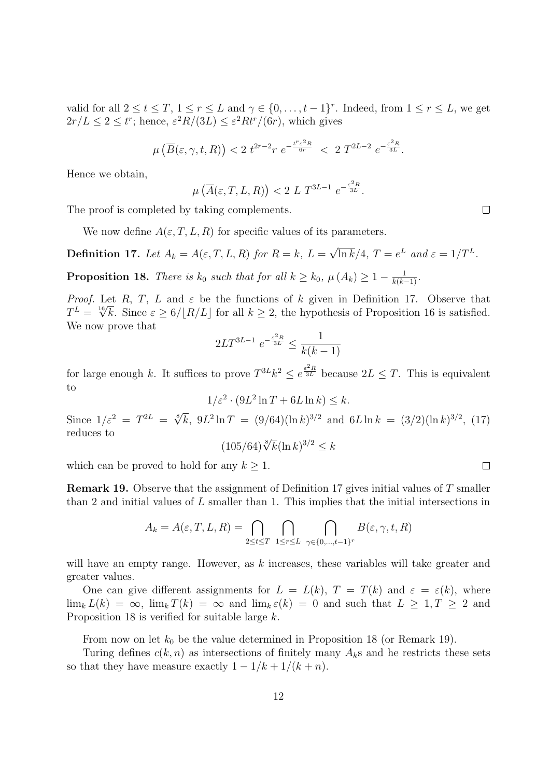valid for all  $2 \le t \le T$ ,  $1 \le r \le L$  and  $\gamma \in \{0, \ldots, t-1\}^r$ . Indeed, from  $1 \le r \le L$ , we get  $2r/L \leq 2 \leq t^r$ ; hence,  $\varepsilon^2 R/(3L) \leq \varepsilon^2 R t^r/(6r)$ , which gives

$$
\mu\left(\overline{B}(\varepsilon,\gamma,t,R)\right) < 2 \ t^{2r-2} r \ e^{-\frac{t^r \varepsilon^2 R}{6r}} < 2 \ T^{2L-2} \ e^{-\frac{\varepsilon^2 R}{3L}}.
$$

Hence we obtain,

$$
\mu\left(\overline{A}(\varepsilon,T,L,R)\right) < 2\ L\ T^{3L-1}\ e^{-\frac{\varepsilon^2 R}{3L}}.
$$

The proof is completed by taking complements.

We now define  $A(\varepsilon, T, L, R)$  for specific values of its parameters.

**Definition 17.** Let  $A_k = A(\varepsilon, T, L, R)$  for  $R = k, L =$ √  $\overline{\ln k}/4$ ,  $T = e^L$  and  $\varepsilon = 1/T^L$ .

**Proposition 18.** There is  $k_0$  such that for all  $k \geq k_0$ ,  $\mu(A_k) \geq 1 - \frac{1}{k(k-1)}$ .

*Proof.* Let R, T, L and  $\varepsilon$  be the functions of k given in Definition 17. Observe that  $T^L = \sqrt[16]{k}$ . Since  $\varepsilon \ge 6/[R/L]$  for all  $k \ge 2$ , the hypothesis of Proposition 16 is satisfied. We now prove that

$$
2LT^{3L-1} \ e^{-\frac{\varepsilon^2 R}{3L}} \le \frac{1}{k(k-1)}
$$

for large enough k. It suffices to prove  $T^{3L}k^2 \leq e^{\frac{\varepsilon^2 R}{3L}}$  because  $2L \leq T$ . This is equivalent to

$$
1/\varepsilon^2 \cdot (9L^2 \ln T + 6L \ln k) \le k.
$$

Since  $1/\varepsilon^2 = T^{2L} = \sqrt[8]{k}$ ,  $9L^2 \ln T = (9/64)(\ln k)^{3/2}$  and  $6L \ln k = (3/2)(\ln k)^{3/2}$ , (17) reduces to

$$
(105/64)\sqrt[8]{k}(\ln k)^{3/2} \le k
$$

which can be proved to hold for any  $k \geq 1$ .

Remark 19. Observe that the assignment of Definition 17 gives initial values of T smaller than 2 and initial values of L smaller than 1. This implies that the initial intersections in

$$
A_k = A(\varepsilon, T, L, R) = \bigcap_{2 \le t \le T} \bigcap_{1 \le r \le L} \bigcap_{\gamma \in \{0, \dots, t-1\}^r} B(\varepsilon, \gamma, t, R)
$$

will have an empty range. However, as  $k$  increases, these variables will take greater and greater values.

One can give different assignments for  $L = L(k)$ ,  $T = T(k)$  and  $\varepsilon = \varepsilon(k)$ , where  $\lim_{k} L(k) = \infty$ ,  $\lim_{k} T(k) = \infty$  and  $\lim_{k} \varepsilon(k) = 0$  and such that  $L \geq 1, T \geq 2$  and Proposition 18 is verified for suitable large k.

From now on let  $k_0$  be the value determined in Proposition 18 (or Remark 19).

Turing defines  $c(k, n)$  as intersections of finitely many  $A_k$ s and he restricts these sets so that they have measure exactly  $1 - 1/k + 1/(k + n)$ .

 $\Box$ 

 $\Box$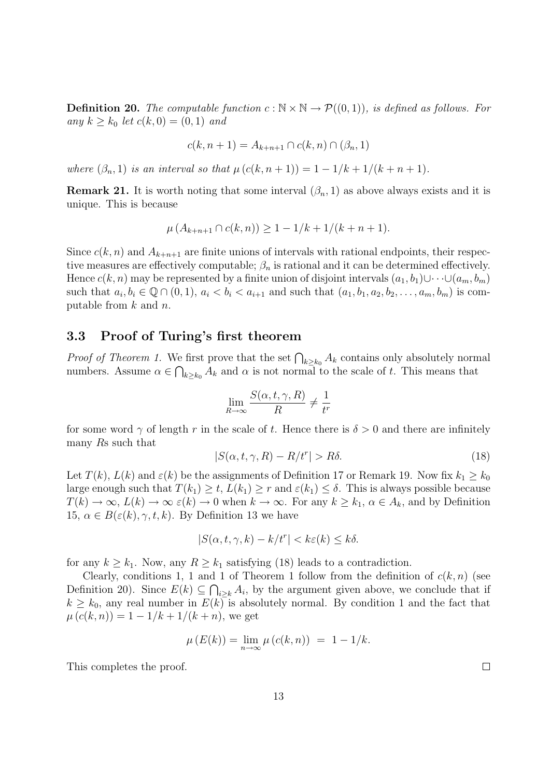**Definition 20.** The computable function  $c : \mathbb{N} \times \mathbb{N} \to \mathcal{P}((0,1))$ , is defined as follows. For any  $k \geq k_0$  let  $c(k, 0) = (0, 1)$  and

$$
c(k, n + 1) = A_{k+n+1} \cap c(k, n) \cap (\beta_n, 1)
$$

where  $(\beta_n, 1)$  is an interval so that  $\mu(c(k, n + 1)) = 1 - 1/k + 1/(k + n + 1)$ .

**Remark 21.** It is worth noting that some interval  $(\beta_n, 1)$  as above always exists and it is unique. This is because

$$
\mu(A_{k+n+1} \cap c(k,n)) \ge 1 - 1/k + 1/(k+n+1).
$$

Since  $c(k, n)$  and  $A_{k+n+1}$  are finite unions of intervals with rational endpoints, their respective measures are effectively computable;  $\beta_n$  is rational and it can be determined effectively. Hence  $c(k, n)$  may be represented by a finite union of disjoint intervals  $(a_1, b_1) \cup \cdots \cup (a_m, b_m)$ such that  $a_i, b_i \in \mathbb{Q} \cap (0, 1), a_i < b_i < a_{i+1}$  and such that  $(a_1, b_1, a_2, b_2, \ldots, a_m, b_m)$  is computable from  $k$  and  $n$ .

#### 3.3 Proof of Turing's first theorem

*Proof of Theorem 1.* We first prove that the set  $\bigcap_{k\geq k_0} A_k$  contains only absolutely normal numbers. Assume  $\alpha \in \bigcap_{k \geq k_0} A_k$  and  $\alpha$  is not normal to the scale of t. This means that

$$
\lim_{R \to \infty} \frac{S(\alpha, t, \gamma, R)}{R} \neq \frac{1}{t^r}
$$

for some word  $\gamma$  of length r in the scale of t. Hence there is  $\delta > 0$  and there are infinitely many Rs such that

$$
|S(\alpha, t, \gamma, R) - R/t^{r}| > R\delta.
$$
\n(18)

Let  $T(k)$ ,  $L(k)$  and  $\varepsilon(k)$  be the assignments of Definition 17 or Remark 19. Now fix  $k_1 \geq k_0$ large enough such that  $T(k_1) \geq t$ ,  $L(k_1) \geq r$  and  $\varepsilon(k_1) \leq \delta$ . This is always possible because  $T(k) \to \infty$ ,  $L(k) \to \infty$   $\varepsilon(k) \to 0$  when  $k \to \infty$ . For any  $k \geq k_1$ ,  $\alpha \in A_k$ , and by Definition 15,  $\alpha \in B(\varepsilon(k), \gamma, t, k)$ . By Definition 13 we have

$$
|S(\alpha, t, \gamma, k) - k/t^{r}| < k\varepsilon(k) \leq k\delta.
$$

for any  $k \geq k_1$ . Now, any  $R \geq k_1$  satisfying (18) leads to a contradiction.

Clearly, conditions 1, 1 and 1 of Theorem 1 follow from the definition of  $c(k, n)$  (see Definition 20). Since  $E(k) \subseteq \bigcap_{i \geq k} A_i$ , by the argument given above, we conclude that if  $k \geq k_0$ , any real number in  $E(k)$  is absolutely normal. By condition 1 and the fact that  $\mu(c(k, n)) = 1 - 1/k + 1/(k+n)$ , we get

$$
\mu(E(k)) = \lim_{n \to \infty} \mu(c(k, n)) = 1 - 1/k.
$$

This completes the proof.

 $\Box$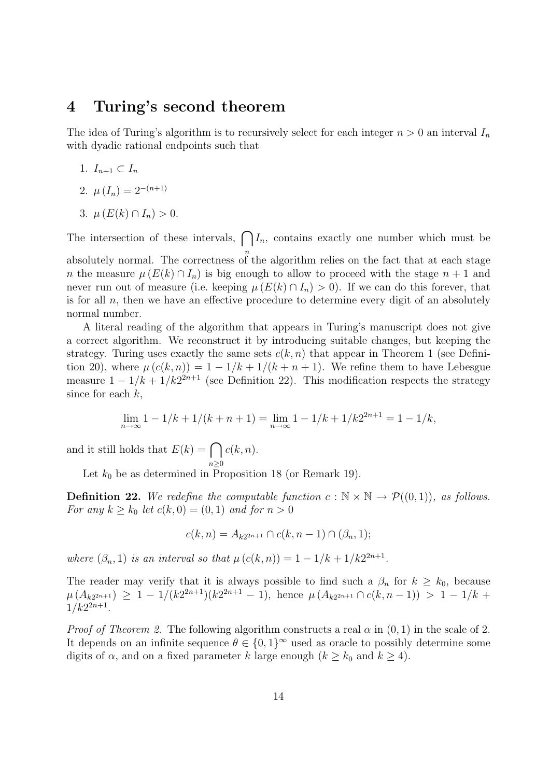### 4 Turing's second theorem

The idea of Turing's algorithm is to recursively select for each integer  $n > 0$  an interval  $I_n$ with dyadic rational endpoints such that

- 1.  $I_{n+1} \subset I_n$
- 2.  $\mu(I_n) = 2^{-(n+1)}$
- 3.  $\mu(E(k) \cap I_n) > 0$ .

The intersection of these intervals,  $\bigcap I_n$ , contains exactly one number which must be absolutely normal. The correctness of the algorithm relies on the fact that at each stage

n the measure  $\mu(E(k) \cap I_n)$  is big enough to allow to proceed with the stage  $n + 1$  and never run out of measure (i.e. keeping  $\mu(E(k) \cap I_n) > 0$ ). If we can do this forever, that is for all  $n$ , then we have an effective procedure to determine every digit of an absolutely normal number.

A literal reading of the algorithm that appears in Turing's manuscript does not give a correct algorithm. We reconstruct it by introducing suitable changes, but keeping the strategy. Turing uses exactly the same sets  $c(k, n)$  that appear in Theorem 1 (see Definition 20), where  $\mu(c(k,n)) = 1 - 1/k + 1/(k+n+1)$ . We refine them to have Lebesgue measure  $1 - 1/k + 1/k2^{2n+1}$  (see Definition 22). This modification respects the strategy since for each  $k$ ,

$$
\lim_{n \to \infty} 1 - 1/k + 1/(k + n + 1) = \lim_{n \to \infty} 1 - 1/k + 1/k2^{2n+1} = 1 - 1/k,
$$

and it still holds that  $E(k) = \bigcap$  $n\geq 0$  $c(k, n)$ .

Let  $k_0$  be as determined in Proposition 18 (or Remark 19).

**Definition 22.** We redefine the computable function  $c : \mathbb{N} \times \mathbb{N} \to \mathcal{P}((0,1)),$  as follows. For any  $k > k_0$  let  $c(k, 0) = (0, 1)$  and for  $n > 0$ 

$$
c(k, n) = A_{k2^{2n+1}} \cap c(k, n-1) \cap (\beta_n, 1);
$$

where  $(\beta_n, 1)$  is an interval so that  $\mu(c(k, n)) = 1 - 1/k + 1/k2^{2n+1}$ .

The reader may verify that it is always possible to find such a  $\beta_n$  for  $k \geq k_0$ , because  $\mu(A_{k2^{2n+1}}) \geq 1 - 1/(k2^{2n+1})(k2^{2n+1} - 1)$ , hence  $\mu(A_{k2^{2n+1}} \cap c(k, n-1)) > 1 - 1/k + 1$  $1/k2^{2n+1}$ .

*Proof of Theorem 2.* The following algorithm constructs a real  $\alpha$  in (0, 1) in the scale of 2. It depends on an infinite sequence  $\theta \in \{0,1\}^{\infty}$  used as oracle to possibly determine some digits of  $\alpha$ , and on a fixed parameter k large enough  $(k \geq k_0 \text{ and } k \geq 4)$ .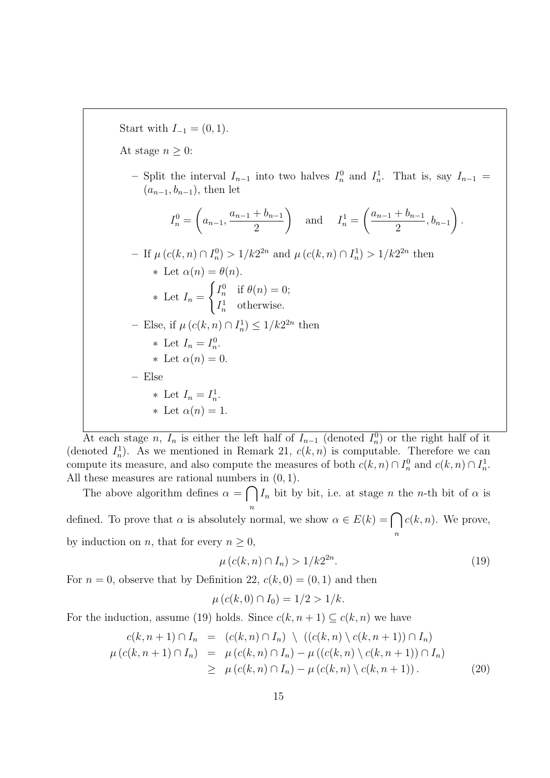Start with  $I_{-1} = (0, 1)$ . At stage  $n \geq 0$ : - Split the interval  $I_{n-1}$  into two halves  $I_n^0$  and  $I_n^1$ . That is, say  $I_{n-1}$  =  $(a_{n-1}, b_{n-1})$ , then let  $I_n^0 =$  $\sqrt{ }$  $a_{n-1}$  $a_{n-1} + b_{n-1}$ 2  $\setminus$ and  $I_n^1 =$  $\int a_{n-1} + b_{n-1}$  $\frac{1}{2}$ ,  $b_{n-1}$  $\setminus$ . - If  $\mu(c(k, n) ∩ I_n^0) > 1/k2^{2n}$  and  $\mu(c(k, n) ∩ I_n^1) > 1/k2^{2n}$  then  $\ast$  Let  $\alpha(n) = \theta(n)$ .  $*$  Let  $I_n =$  $\int I_n^0$  if  $\theta(n) = 0;$  $I_n^1$  otherwise. - Else, if  $\mu(c(k, n) \cap I_n^1) \leq 1/k2^{2n}$  then \* Let  $I_n = I_n^0$ .  $\ast$  Let  $\alpha(n) = 0$ . – Else \* Let  $I_n = I_n^1$ . \* Let  $\alpha(n) = 1$ .

At each stage n,  $I_n$  is either the left half of  $I_{n-1}$  (denoted  $I_n^0$ ) or the right half of it (denoted  $I_n^1$ ). As we mentioned in Remark 21,  $c(k, n)$  is computable. Therefore we can compute its measure, and also compute the measures of both  $c(k, n) \cap I_n^0$  and  $c(k, n) \cap I_n^1$ . All these measures are rational numbers in  $(0, 1)$ .

The above algorithm defines  $\alpha = \bigcap$ n  $I_n$  bit by bit, i.e. at stage n the n-th bit of  $\alpha$  is defined. To prove that  $\alpha$  is absolutely normal, we show  $\alpha \in E(k) = \bigcap$ n  $c(k, n)$ . We prove,

by induction on *n*, that for every  $n \geq 0$ ,

$$
\mu(c(k, n) \cap I_n) > 1/k2^{2n}.
$$
\n(19)

For  $n = 0$ , observe that by Definition 22,  $c(k, 0) = (0, 1)$  and then

$$
\mu(c(k,0) \cap I_0) = 1/2 > 1/k.
$$

For the induction, assume (19) holds. Since  $c(k, n + 1) \subseteq c(k, n)$  we have

$$
c(k, n+1) \cap I_n = (c(k, n) \cap I_n) \setminus ((c(k, n) \setminus c(k, n+1)) \cap I_n)
$$
  

$$
\mu(c(k, n+1) \cap I_n) = \mu(c(k, n) \cap I_n) - \mu((c(k, n) \setminus c(k, n+1)) \cap I_n)
$$
  

$$
\geq \mu(c(k, n) \cap I_n) - \mu(c(k, n) \setminus c(k, n+1)). \tag{20}
$$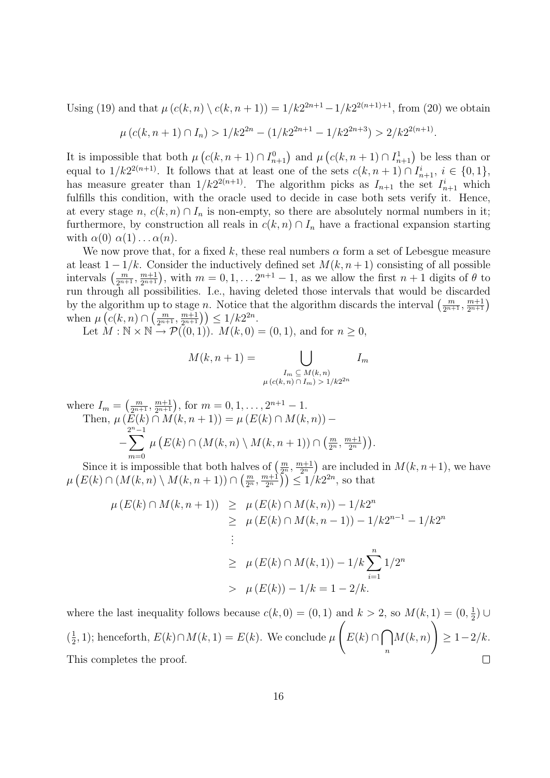Using (19) and that  $\mu(c(k, n) \setminus c(k, n + 1)) = 1/k2^{2n+1} - 1/k2^{2(n+1)+1}$ , from (20) we obtain

$$
\mu(c(k, n+1) \cap I_n) > 1/k2^{2n} - (1/k2^{2n+1} - 1/k2^{2n+3}) > 2/k2^{2(n+1)}.
$$

It is impossible that both  $\mu\left(c(k, n+1) \cap I_{n+1}^0\right)$  and  $\mu\left(c(k, n+1) \cap I_{n+1}^1\right)$  be less than or equal to  $1/k2^{2(n+1)}$ . It follows that at least one of the sets  $c(k, n+1) \cap I_{n+1}^i$ ,  $i \in \{0, 1\}$ , has measure greater than  $1/k2^{2(n+1)}$ . The algorithm picks as  $I_{n+1}$  the set  $I_{n+1}^i$  which fulfills this condition, with the oracle used to decide in case both sets verify it. Hence, at every stage n,  $c(k, n) \cap I_n$  is non-empty, so there are absolutely normal numbers in it; furthermore, by construction all reals in  $c(k, n) \cap I_n$  have a fractional expansion starting with  $\alpha(0) \alpha(1) \ldots \alpha(n)$ .

We now prove that, for a fixed k, these real numbers  $\alpha$  form a set of Lebesgue measure at least  $1 - 1/k$ . Consider the inductively defined set  $M(k, n + 1)$  consisting of all possible intervals  $\left(\frac{m}{2^{n+1}}, \frac{m+1}{2^{n+1}}\right)$ , with  $m = 0, 1, \ldots 2^{n+1} - 1$ , as we allow the first  $n+1$  digits of  $\theta$  to run through all possibilities. I.e., having deleted those intervals that would be discarded by the algorithm up to stage n. Notice that the algorithm discards the interval  $\left(\frac{m}{2^{n+1}}, \frac{m+1}{2^{n+1}}\right)$ when  $\mu\left(c(k, n) \cap \left(\frac{m}{2^{n+1}}, \frac{m+1}{2^{n+1}}\right)\right) \leq 1/k2^{2n}$ .

Let  $M : \mathbb{N} \times \mathbb{N} \to \mathcal{P}((0,1))$ .  $M(k, 0) = (0,1)$ , and for  $n \geq 0$ ,

$$
M(k, n+1) = \bigcup_{\substack{I_m \subseteq M(k,n) \\ \mu(c(k,n) \cap I_m) > 1/k2^{2n}}} I_m
$$

where  $I_m = \left(\frac{m}{2^{n+1}}, \frac{m+1}{2^{n+1}}\right)$ , for  $m = 0, 1, \dots, 2^{n+1} - 1$ . Then,  $\mu(E(k) \cap M(k, n+1)) = \mu(E(k) \cap M(k, n))$  – −  $\sum^{2n-1}$  $\mu\left(E(k)\cap (M(k,n)\setminus M(k,n+1))\cap \left(\frac{m}{2^n},\frac{m+1}{2^n}\right)\right)$  $\frac{n+1}{2^n}\big)\big).$ 

 $m=0$ Since it is impossible that both halves of  $\left(\frac{m}{2^n}, \frac{m+1}{2^n}\right)$  $\left(\frac{n+1}{2^n}\right)$  are included in  $M(k, n+1)$ , we have  $\mu\left(E(k)\cap (M(k,n)\setminus M(k,n+1))\cap \left(\frac{m}{2^n},\frac{m+1}{2^n}\right)\right)$  $\left(\frac{n+1}{2^n}\right) \leq 1/k2^{2n}$ , so that

$$
\mu(E(k) \cap M(k, n+1)) \geq \mu(E(k) \cap M(k, n)) - 1/k2^n
$$
  
\n
$$
\geq \mu(E(k) \cap M(k, n-1)) - 1/k2^{n-1} - 1/k2^n
$$
  
\n
$$
\geq \mu(E(k) \cap M(k, 1)) - 1/k \sum_{i=1}^n 1/2^n
$$
  
\n
$$
> \mu(E(k)) - 1/k = 1 - 2/k.
$$

where the last inequality follows because  $c(k, 0) = (0, 1)$  and  $k > 2$ , so  $M(k, 1) = (0, \frac{1}{2})$  $\frac{1}{2}$ ) ∪  $\sqrt{ }$  $\setminus$  $E(k) \cap \bigcap$  $\left(\frac{1}{2}\right)$  $(\frac{1}{2}, 1)$ ; henceforth,  $E(k) \cap M(k, 1) = E(k)$ . We conclude  $\mu$  $M(k,n)$  $\geq 1-2/k$ . n  $\Box$ This completes the proof.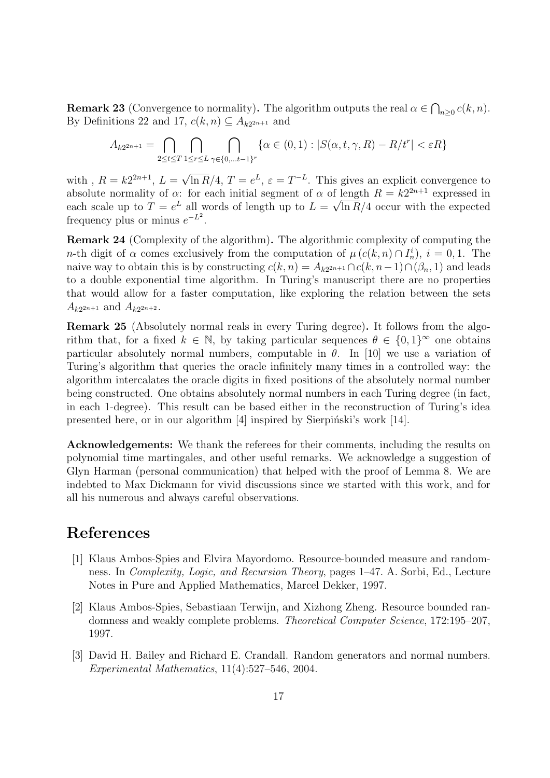**Remark 23** (Convergence to normality). The algorithm outputs the real  $\alpha \in \bigcap_{n\geq 0} c(k, n)$ . By Definitions 22 and 17,  $c(k, n) \subseteq A_{k2^{2n+1}}$  and

$$
A_{k2^{2n+1}} = \bigcap_{2 \leq t \leq T} \bigcap_{1 \leq r \leq L} \bigcap_{\gamma \in \{0, \ldots t-1\}^r} \{ \alpha \in (0,1) : |S(\alpha, t, \gamma, R) - R/t^r| < \varepsilon R \}
$$

with,  $R = k2^{2n+1}$ ,  $L =$ √  $\overline{\ln R}/4$ ,  $T = e^L$ ,  $\varepsilon = T^{-L}$ . This gives an explicit convergence to absolute normality of  $\alpha$ : for each initial segment of  $\alpha$  of length  $R = k2^{2n+1}$  expressed in each scale up to  $T = e^L$  all words of length up to  $L = \sqrt{\ln R}/4$  occur with the expected frequency plus or minus  $e^{-L^2}$ .

Remark 24 (Complexity of the algorithm). The algorithmic complexity of computing the *n*-th digit of  $\alpha$  comes exclusively from the computation of  $\mu(c(k,n) \cap I_n^i)$ ,  $i = 0,1$ . The naive way to obtain this is by constructing  $c(k, n) = A_{k2^{2n+1}} \cap c(k, n-1) \cap (\beta_n, 1)$  and leads to a double exponential time algorithm. In Turing's manuscript there are no properties that would allow for a faster computation, like exploring the relation between the sets  $A_{k2^{2n+1}}$  and  $A_{k2^{2n+2}}$ .

Remark 25 (Absolutely normal reals in every Turing degree). It follows from the algorithm that, for a fixed  $k \in \mathbb{N}$ , by taking particular sequences  $\theta \in \{0,1\}^{\infty}$  one obtains particular absolutely normal numbers, computable in  $\theta$ . In [10] we use a variation of Turing's algorithm that queries the oracle infinitely many times in a controlled way: the algorithm intercalates the oracle digits in fixed positions of the absolutely normal number being constructed. One obtains absolutely normal numbers in each Turing degree (in fact, in each 1-degree). This result can be based either in the reconstruction of Turing's idea presented here, or in our algorithm  $[4]$  inspired by Sierpinski's work  $[14]$ .

Acknowledgements: We thank the referees for their comments, including the results on polynomial time martingales, and other useful remarks. We acknowledge a suggestion of Glyn Harman (personal communication) that helped with the proof of Lemma 8. We are indebted to Max Dickmann for vivid discussions since we started with this work, and for all his numerous and always careful observations.

### References

- [1] Klaus Ambos-Spies and Elvira Mayordomo. Resource-bounded measure and randomness. In Complexity, Logic, and Recursion Theory, pages 1–47. A. Sorbi, Ed., Lecture Notes in Pure and Applied Mathematics, Marcel Dekker, 1997.
- [2] Klaus Ambos-Spies, Sebastiaan Terwijn, and Xizhong Zheng. Resource bounded randomness and weakly complete problems. Theoretical Computer Science, 172:195–207, 1997.
- [3] David H. Bailey and Richard E. Crandall. Random generators and normal numbers. Experimental Mathematics, 11(4):527–546, 2004.